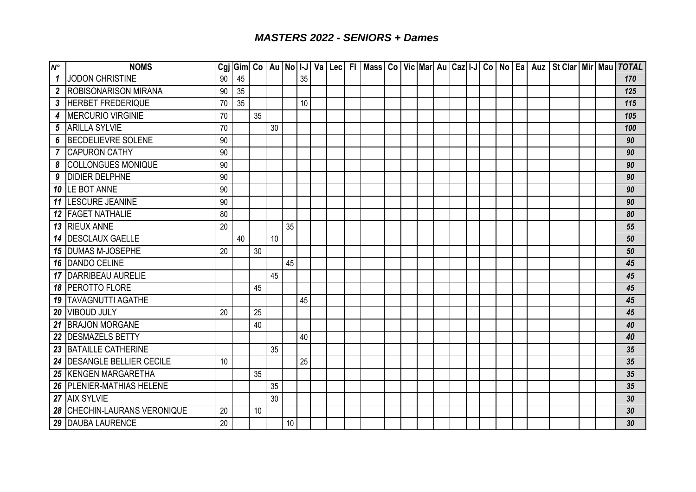## *MASTERS 2022 - SENIORS + Dames*

| $N^{\circ}$      | <b>NOMS</b>                   |    |    |    |    |      |                 |  |  |  |  |  |  |  | Cgj   Gim  Co   Au   No   I-J   Va   Lec   FI   Mass   Co   Vic   Mar  Au   Caz  I-J   Co   No   Ea   Auz   St Clar   Mir   Mau   TOTAL |  |                 |
|------------------|-------------------------------|----|----|----|----|------|-----------------|--|--|--|--|--|--|--|-----------------------------------------------------------------------------------------------------------------------------------------|--|-----------------|
| $\mathbf{1}$     | JODON CHRISTINE               | 90 | 45 |    |    |      | 35              |  |  |  |  |  |  |  |                                                                                                                                         |  | 170             |
| $\boldsymbol{2}$ | <b>ROBISONARISON MIRANA</b>   | 90 | 35 |    |    |      |                 |  |  |  |  |  |  |  |                                                                                                                                         |  | 125             |
|                  | 3 HERBET FREDERIQUE           | 70 | 35 |    |    |      | 10              |  |  |  |  |  |  |  |                                                                                                                                         |  | 115             |
| 4                | <b>IMERCURIO VIRGINIE</b>     | 70 |    | 35 |    |      |                 |  |  |  |  |  |  |  |                                                                                                                                         |  | 105             |
| 5                | <b>ARILLA SYLVIE</b>          | 70 |    |    | 30 |      |                 |  |  |  |  |  |  |  |                                                                                                                                         |  | 100             |
| 6                | BECDELIEVRE SOLENE            | 90 |    |    |    |      |                 |  |  |  |  |  |  |  |                                                                                                                                         |  | 90              |
|                  | <b>7 CAPURON CATHY</b>        | 90 |    |    |    |      |                 |  |  |  |  |  |  |  |                                                                                                                                         |  | 90              |
| 8                | <b>COLLONGUES MONIQUE</b>     | 90 |    |    |    |      |                 |  |  |  |  |  |  |  |                                                                                                                                         |  | 90              |
| 9                | <b>DIDIER DELPHNE</b>         | 90 |    |    |    |      |                 |  |  |  |  |  |  |  |                                                                                                                                         |  | 90              |
|                  | 10 ILE BOT ANNE               | 90 |    |    |    |      |                 |  |  |  |  |  |  |  |                                                                                                                                         |  | 90              |
|                  | <b>11 LESCURE JEANINE</b>     | 90 |    |    |    |      |                 |  |  |  |  |  |  |  |                                                                                                                                         |  | 90              |
|                  | 12   FAGET NATHALIE           | 80 |    |    |    |      |                 |  |  |  |  |  |  |  |                                                                                                                                         |  | 80              |
|                  | 13 RIEUX ANNE                 | 20 |    |    |    | 35   |                 |  |  |  |  |  |  |  |                                                                                                                                         |  | 55              |
|                  | <b>14 DESCLAUX GAELLE</b>     |    | 40 |    | 10 |      |                 |  |  |  |  |  |  |  |                                                                                                                                         |  | 50              |
|                  | 15 DUMAS M-JOSEPHE            | 20 |    | 30 |    |      |                 |  |  |  |  |  |  |  |                                                                                                                                         |  | 50              |
|                  | <b>16 DANDO CELINE</b>        |    |    |    |    | 45   |                 |  |  |  |  |  |  |  |                                                                                                                                         |  | 45              |
|                  | <b>17   DARRIBEAU AURELIE</b> |    |    |    | 45 |      |                 |  |  |  |  |  |  |  |                                                                                                                                         |  | 45              |
|                  | <b>18 PEROTTO FLORE</b>       |    |    | 45 |    |      |                 |  |  |  |  |  |  |  |                                                                                                                                         |  | 45              |
|                  | <b>19 TAVAGNUTTI AGATHE</b>   |    |    |    |    |      | 45              |  |  |  |  |  |  |  |                                                                                                                                         |  | 45              |
|                  | 20 VIBOUD JULY                | 20 |    | 25 |    |      |                 |  |  |  |  |  |  |  |                                                                                                                                         |  | 45              |
|                  | 21 BRAJON MORGANE             |    |    | 40 |    |      |                 |  |  |  |  |  |  |  |                                                                                                                                         |  | 40              |
|                  | 22 <b>IDESMAZELS BETTY</b>    |    |    |    |    |      | 40              |  |  |  |  |  |  |  |                                                                                                                                         |  | 40              |
|                  | 23 BATAILLE CATHERINE         |    |    |    | 35 |      |                 |  |  |  |  |  |  |  |                                                                                                                                         |  | 35              |
|                  | 24 DESANGLE BELLIER CECILE    | 10 |    |    |    |      | $\overline{25}$ |  |  |  |  |  |  |  |                                                                                                                                         |  | 35              |
|                  | 25 KENGEN MARGARETHA          |    |    | 35 |    |      |                 |  |  |  |  |  |  |  |                                                                                                                                         |  | 35              |
|                  | 26 PLENIER-MATHIAS HELENE     |    |    |    | 35 |      |                 |  |  |  |  |  |  |  |                                                                                                                                         |  | 35              |
|                  | 27 AIX SYLVIE                 |    |    |    | 30 |      |                 |  |  |  |  |  |  |  |                                                                                                                                         |  | 30              |
|                  | 28 CHECHIN-LAURANS VERONIQUE  | 20 |    | 10 |    |      |                 |  |  |  |  |  |  |  |                                                                                                                                         |  | 30 <sup>°</sup> |
|                  | 29 DAUBA LAURENCE             | 20 |    |    |    | $10$ |                 |  |  |  |  |  |  |  |                                                                                                                                         |  | 30              |